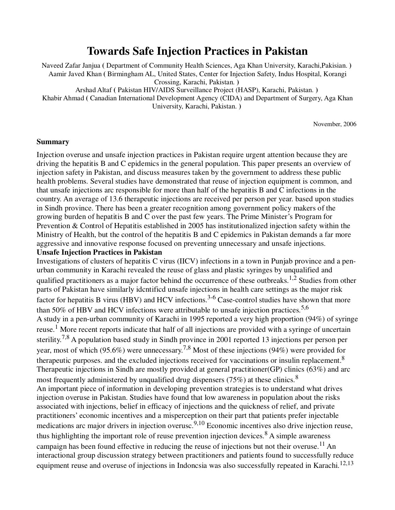# **Towards Safe Injection Practices in Pakistan**

Naveed Zafar Janjua **(** Department of Community Health Sciences, Aga Khan University, Karachi,Pakisian. **)**  Aamir Javed Khan **(** Birmingham AL, United States, Center for Injection Safety, Indus Hospital, Korangi Crossing, Karachi, Pakistan. **)**  Arshad Altaf **(** Pakistan HIV/AIDS Surveillance Project (HASP), Karachi, Pakistan. **)**  Khabir Ahmad **(** Canadian International Development Agency (CIDA) and Department of Surgery, Aga Khan

University, Karachi, Pakistan. **)** 

November, 2006

#### **Summary**

Injection overuse and unsafe injection practices in Pakistan require urgent attention because they are driving the hepatitis B and C epidemics in the general population. This paper presents an overview of injection safety in Pakistan, and discuss measures taken by the government to address these public health problems. Several studies have demonstrated that reuse of injection equipment is common, and that unsafe injections arc responsible for more than half of the hepatitis B and C infections in the country. An average of 13.6 therapeutic injections are received per person per year. based upon studies in Sindh province. There has been a greater recognition among government policy makers of the growing burden of hepatitis B and C over the past few years. The Prime Minister's Program for Prevention & Control of Hepatitis established in 2005 has institutionalized injection safety within the Ministry of Health, but the control of the hepatitis B and C epidemics in Pakistan demands a far more aggressive and innovative response focused on preventing unnecessary and unsafe injections.

#### **Unsafe Injection Practices in Pakistan**

Investigations of clusters of hepatitis C virus (IICV) infections in a town in Punjab province and a penurban community in Karachi revealed the reuse of glass and plastic syringes by unqualified and qualified practitioners as a major factor behind the occurrence of these outbreaks.<sup>1,2</sup> Studies from other parts of Pakistan have similarly idcntificd unsafe injections in health care settings as the major risk factor for hepatitis B virus (HBV) and HCV infections.<sup>3-6</sup> Case-control studies have shown that more than 50% of HBV and HCV infections were attributable to unsafe injection practices.<sup>5,6</sup> A study in a pen-urban community of Karachi in 1995 reported a very high proportion (94%) of syringe reuse.<sup>1</sup> More recent reports indicate that half of all injections are provided with a syringe of uncertain sterility.<sup>7,8</sup> A population based study in Sindh province in 2001 reported 13 injections per person per year, most of which (95.6%) were unnecessary.7,8 Most of these injections (94%) were provided for therapeutic purposes, and the excluded injections received for vaccinations or insulin replacement.<sup>8</sup> Therapeutic injections in Sindh are mostly provided at general practitioner(GP) clinics (63%) and arc most frequently administered by unqualified drug dispensers (75%) at these clinics.<sup>8</sup> An important piece of information in developing prevention strategies is to understand what drives injection overuse in Pakistan. Studies have found that low awareness in population about the risks associated with injections, belief in efficacy of injections and the quickness of relief, and private practitioners' economic incentives and a misperception on their part that patients prefer injectable medications arc major drivers in injection overusc.<sup>9,10</sup> Economic incentives also drive injection reuse, thus highlighting the important role of reuse prevention injection devices.<sup>8</sup> A simple awareness campaign has been found effective in reducing the reuse of injections but not their overuse.<sup>11</sup> An interactional group discussion strategy between practitioners and patients found to successfully reduce equipment reuse and overuse of injections in Indoncsia was also successfully repeated in Karachi.<sup>12,13</sup>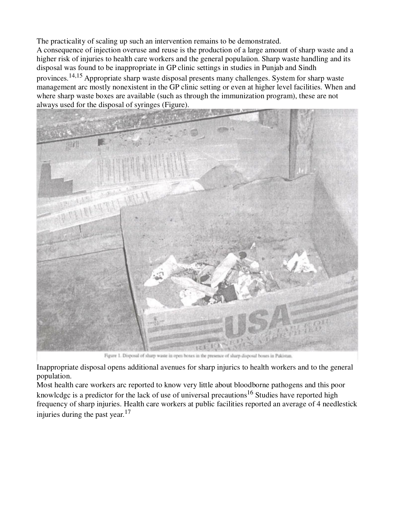The practicality of scaling up such an intervention remains to be demonstrated.

A consequence of injection overuse and reuse is the production of a large amount of sharp waste and a higher risk of injuries to health care workers and the general populaüon. Sharp waste handling and its disposal was found to be inappropriate in GP clinic settings in studies in Punjab and Sindh provinces.14,15 Appropriate sharp waste disposal presents many challenges. System for sharp waste management arc mostly nonexistent in the GP clinic setting or even at higher level facilities. When and where sharp waste boxes are available (such as through the immunization program), these are not always used for the disposal of syringes (Figure).



Figure 1. Disposal of sharp waste in open boxes in the presence of sharp disposal boxes in Pakistan.

Inappropriate disposal opens additional avenues for sharp injurics to health workers and to the general population.

Most health care workers arc reported to know very little about bloodborne pathogens and this poor knowlcdgc is a predictor for the lack of use of universal precautions<sup>16</sup> Studies have reported high frequency of sharp injuries. Health care workers at public facilities reported an average of 4 needlestick injuries during the past year.<sup>17</sup>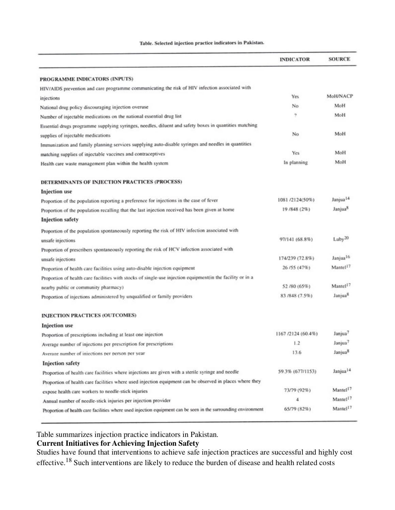#### Table. Selected injection practice indicators in Pakistan.

|                                                                                                                | <b>INDICATOR</b>   | <b>SOURCE</b>        |
|----------------------------------------------------------------------------------------------------------------|--------------------|----------------------|
| PROGRAMME INDICATORS (INPUTS)                                                                                  |                    |                      |
| HIV/AIDS prevention and care programme communicating the risk of HIV infection associated with                 |                    |                      |
| injections                                                                                                     | Yes                | <b>MoH/NACP</b>      |
| National drug policy discouraging injection overuse                                                            | No                 | MoH                  |
| Number of injectable medications on the national essential drug list                                           | 9                  | MoH                  |
| Essential drugs programme supplying syringes, needles, diluent and safety boxes in quantities matching         |                    |                      |
| supplies of injectable medications                                                                             | No                 | MoH                  |
| Immunization and family planning services supplying auto-disable syringes and needles in quantities            |                    |                      |
| matching supplies of injectable vaccines and contraceptives                                                    | <b>Yes</b>         | MoH                  |
| Health care waste management plan within the health system                                                     | In planning        | MoH                  |
| DETERMINANTS OF INJECTION PRACTICES (PROCESS)                                                                  |                    |                      |
| <b>Injection</b> use                                                                                           |                    |                      |
| Proportion of the population reporting a preference for injections in the case of fever                        | 1081/2124(50%)     | Janjua <sup>14</sup> |
| Proportion of the population recalling that the last injection received has been given at home                 | 19/848 (2%)        | Janjua <sup>8</sup>  |
| <b>Injection safety</b>                                                                                        |                    |                      |
| Proportion of the population spontaneously reporting the risk of HIV infection associated with                 |                    |                      |
| unsafe injections                                                                                              | 97/141 (68.8%)     | Luby <sup>20</sup>   |
| Proportion of prescribers spontaneously reporting the risk of HCV infection associated with                    |                    |                      |
| unsafe injections                                                                                              | 174/239 (72.8%)    | Janjua <sup>16</sup> |
| Proportion of health care facilities using auto-disable injection equipment                                    | 26/55 (47%)        | Mantel <sup>17</sup> |
| Proportion of health care facilities with stocks of single-use injection equipment(in the facility or in a     |                    |                      |
| nearby public or community pharmacy)                                                                           | 52/80 (65%)        | Mantel <sup>17</sup> |
| Proportion of injections administered by unqualified or family providers                                       | 83 / 848 (7.5%)    | Janjua <sup>8</sup>  |
| <b>INJECTION PRACTICES (OUTCOMES)</b>                                                                          |                    |                      |
| <b>Injection</b> use                                                                                           |                    |                      |
| Proportion of prescriptions including at least one injection                                                   | 1167 /2124 (60.4%) | Janjua <sup>7</sup>  |
| Average number of injections per prescription for prescriptions                                                | 1.2                | Janjua <sup>7</sup>  |
| Average number of injections per person per year.                                                              | 13.6               | Janjua <sup>8</sup>  |
| <b>Injection safety</b>                                                                                        |                    |                      |
| Proportion of health care facilities where injections are given with a sterile syringe and needle              | 59.3% (677/1153)   | Janjua <sup>14</sup> |
| Proportion of health care facilities where used injection equipment can be observed in places where they       |                    |                      |
| expose health care workers to needle-stick injuries                                                            | 73/79 (92%)        | Mantel <sup>17</sup> |
| Annual number of needle-stick injuries per injection provider                                                  | 4                  | Mantel <sup>17</sup> |
| Proportion of health care facilities where used injection equipment can be seen in the surrounding environment | 65/79 (82%)        | Mantel <sup>17</sup> |

Table summarizes injection practice indicators in Pakistan.

# **Current Initiatives for Achieving Injection Safety**

Studies have found that interventions to achieve safe injection practices are successful and highly cost effective.18 Such interventions are likely to reduce the burden of disease and health related costs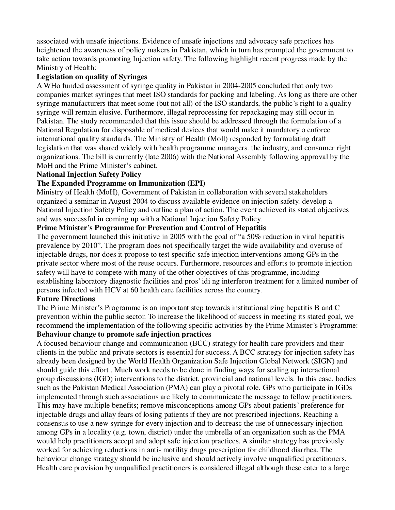associated with unsafe injections. Evidence of unsafe injections and advocacy safe practices has heightened the awareness of policy makers in Pakistan, which in turn has prompted the government to take action towards promoting Injection safety. The following highlight rcccnt progress made by the Ministry of Health:

#### **Legislation on quality of Syringes**

A WHo funded assessment of syringe quality in Pakistan in 2004-2005 concluded that only two companies market syringes that meet ISO standards for packing and labeling. As long as there are other syringe manufacturers that meet some (but not all) of the ISO standards, the public's right to a quality syringe will remain elusive. Furthermore, illegal reprocessing for repackaging may still occur in Pakistan. The study recommended that this issue should be addressed through the formulation of a National Regulation for disposable of medical devices that would make it mandatory o enforce international quality standards. The Ministry of Health (Moll) responded by formulating draft legislation that was shared widely with health programme managers. the industry, and consumer right organizations. The bill is currently (late 2006) with the National Assembly following approval by the MoH and the Prime Minister's cabinet.

#### **National Injection Safety Policy**

#### **The Expanded Programme on Immunization (EPI)**

Ministry of Health (MoH), Government of Pakistan in collaboration with several stakeholders organized a seminar in August 2004 to discuss available evidence on injection safety. develop a National Injection Safety Policy and outline a plan of action. The event achieved its stated objectives and was successful in coming up with a National Injection Safety Policy.

#### **Prime Minister's Programme for Prevention and Control of Hepatitis**

The government launched this initiative in 2005 with the goal of "a 50% reduction in viral hepatitis prevalence by 2010". The program does not specifically target the wide availability and overuse of injectable drugs, nor does it propose to test specific safe injection interventions among GPs in the private sector where most of the reuse occurs. Furthermore, resources and efforts to promote injection safety will have to compete with many of the other objectives of this programme, including establishing laboratory diagnostic facilities and pros' idi ng interferon treatment for a limited number of persons infected with HCV at 60 health care facilities across the country.

### **Future Directions**

The Prime Minister's Programme is an important step towards institutionalizing hepatitis B and C prevention within the public sector. To increase the likelihood of success in meeting its stated goal, we recommend the implementation of the following specific activities by the Prime Minister's Programme:

#### **Behaviour change to promote safe injection practices**

A focused behaviour change and communication (BCC) strategy for health care providers and their clients in the public and private sectors is essential for success. A BCC strategy for injection safety has already been designed by the World Health Organization Safe Injection Global Network (SIGN) and should guide this effort . Much work needs to be done in finding ways for scaling up interactional group discussions (IGD) interventions to the district, provincial and national levels. In this case, bodies such as the Pakistan Medical Association (PMA) can play a pivotal role. GPs who participate in IGDs implemented through such associations arc likely to communicate the message to fellow practitioners. This may have multiple benefits; remove misconceptions among GPs about patients' preference for injectable drugs and allay fears of losing patients if they are not prescribed injections. Reaching a consensus to use a new syringe for every injection and to decreasc the use of unnecessary injection among GPs in a locality (e.g. town, district) under the umbrella of an organization such as the PMA would help practitioners accept and adopt safe injection practices. A similar strategy has previously worked for achieving reductions in anti- motility drugs prescription for childhood diarrhea. The behaviour change strategy should be inclusive and should actively involve unqualified practitioners. Health care provision by unqualified practitioners is considered illegal although these cater to a large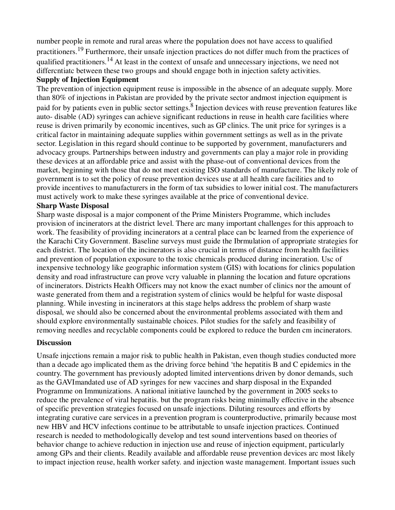number people in remote and rural areas where the population does not have access to qualified practitioners.19 Furthermore, their unsafe injection practices do not differ much from the practices of qualified practitioners.<sup>14</sup> At least in the context of unsafe and unnecessary injections, we need not differcntiatc between these two groups and should engage both in injection safety activities.

#### **Supply of Injection Equipment**

The prevention of injection equipment reuse is impossible in the absence of an adequate supply. More than 80% of injections in Pakistan are provided by the private sector andmost injection equipment is paid for by patients even in public sector settings. <sup>8</sup> Injection devices with reuse prevention features like auto- disable (AD) syringes can achieve significant reductions in reuse in health care facilities where reuse is driven primarily by economic incentives, such as GP clinics. The unit price for syringes is a critical factor in maintaining adequate supplies within government settings as well as in the private sector. Legislation in this regard should continue to be supported by government, manufacturers and advocacy groups. Partnerships between industry and governments can play a major role in providing these devices at an affordable price and assist with the phase-out of conventional devices from the market, beginning with those that do not meet existing ISO standards of manufacture. The likely role of government is to set the policy of reuse prevention devices use at all health care facilities and to provide incentives to manufacturers in the form of tax subsidies to lower initial cost. The manufacturers must actively work to make these syringes available at the price of conventional device.

#### **Sharp Waste Disposal**

Sharp waste disposal is a major component of the Prime Ministers Programme, which includes provision of incinerators at the district level. There arc many important challenges for this approach to work. The feasibility of providing incinerators at a central place can bc learned from the experience of the Karachi City Government. Baseline surveys must guide the Ibrmulation of appropriate strategies for each district. The location of the incinerators is also crucial in terms of distance from health facilities and prevention of population exposure to the toxic chemicals produced during incineration. Usc of inexpensive technology like geographic information system (GIS) with locations for clinics population density and road infrastructure can prove vcry valuable in planning the location and future opcrations of incinerators. Districts Health Officers may not know the exact number of clinics nor the amount of waste generated from them and a registration system of clinics would be helpful for waste disposal planning. While investing in incinerators at this stage helps address thc problem of sharp waste disposal, we should also be concerned about the environmental problems associated with them and should explore environmentally sustainable choices. Pilot studies for the safely and feasibility of removing needles and recyclable components could be explored to reduce the burden cm incinerators.

#### **Discussion**

Unsafe injcctions remain a major risk to public health in Pakistan, even though studies conducted more than a decade ago implicated them as the driving force behind 'the hepatitis B and C epidemics in the country. The government has previously adopted limited interventions driven by donor demands, such as the GAVImandated use of AD syringes for new vaccines and sharp disposal in the Expanded Programme on Immunizations. A national initiative launched by the government in 2005 seeks to reduce the prevalence of viral hepatitis. but the program risks being minimally effective in the absence of specific prevention strategies focused on unsafe injections. Diluting resources and efforts by integrating curative care services in a prevention program is counterproductive, primarily because most new HBV and HCV infections continue to be attributable to unsafe injection practices. Continued research is needed to methodologically develop and test sound interventions based on theories of behavior change to achieve reduction in injection use and reuse of injection equipment, particularly among GPs and their clients. Readily available and affordable reuse prevention devices arc most likely to impact injection reuse, health worker safety. and injection waste management. Important issues such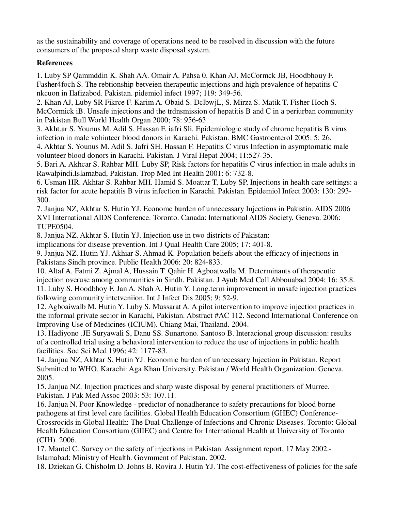as the sustainability and coverage of operations need to be resolved in discussion with the future consumers of the proposed sharp waste disposal system.

## **References**

1. Luby SP Qammddin K. Shah AA. Omair A. Pahsa 0. Khan AJ. McCormck JB, Hoodbhouy F. Fasher4foch S. The rebtionship betveien therapeutic injections and high prevalence of hepatitis C nkcuon in Ilafizabod. Pakistan. pidemiol infect 1997; 119: 349-56.

2. Khan AJ, Luby SR Fikrce F. Karim A. Obaid S. DclbwjL, S. Mirza S. Matik T. Fisher Hoch S. McCormick iB. Unsafe injections and the trdnsmission of hepatitis B and C in a periurban community in Pakistan Bull World Health Organ 2000; 78: 956-63.

3. Akht.ar S. Younus M. Adil S. Hassan F. iafri Sli. Epidemiologic study of chrornc hepatitis B virus infection in male vohintcer blood donors in Karachi. Pakistan. BMC Gastroenterol 2005: 5: 26.

4. Akhtar S. Younus M. Adil S. Jafri SH. Hassan F. Hepatitis C virus Infection in asymptomatic male volunteer blood donors in Karachi. Pakistan. J Viral Hepat 2004; 11:527-35.

5. Bari A. Akhcar S. Rahbar MH. Luby SP, Risk factors for hepatitis C virus infection in male adults in Rawalpindi.Islamabad, Pakistan. Trop Med Int Health 2001: 6: 732-8.

6. Usman HR. Akhtar S. Rahbar MH. Hamid S. Moattar T, Luby SP, Injections in health care settings: a risk factor for acute hepatitis B virus infection in Karachi. Pakistan. Epidemiol Infect 2003: 130: 293- 300.

7. Janjua NZ, Akhtar S. Hutin YJ. Economc burden of unnecessary Injections in Pakistin. AIDS 2006 XVI International AIDS Conference. Toronto. Canada: lnternational AIDS Society. Geneva. 2006: TUPE0504.

8. Janjua NZ. Akhtar S. Hutin YJ. Injection use in two districts of Pakistan:

implications for disease prevention. Int J QuaI Health Care 2005; 17: 401-8.

9. Janjua NZ. Hutin YJ. Akhiar S. Ahmad K. Population beliefs about the efficacy of injections in Pakistans Sindh province. Public Health 2006: 20: 824-833.

10. Altaf A. Fatmi Z. Ajmal A, Hussain T. Qahir H. Agboatwalla M. Determinants of therapeutic injection overuse among communities in Sindh. Pakistan. J Ayub Med Coll Abbouabad 2004; 16: 35.8. 11. Luby S. Hoodbhoy F. Jan A. Shah A. Hutin Y. Long.term improvement in unsafe injection practices following community intctveniion. Int J Infect Dis 2005; 9: 52-9.

12. Agboaiwalb M. Hutin Y. Luby S. Mussarat A. A pilot intervention to improve injection practices in the informal private secior in Karachi, Pakistan. Abstract #AC 112. Second International Conference on Improving Use of Medicines (ICIUM). Chiang Mai, Thailand. 2004.

13. Hadiyono .JE Suryawali S, Danu SS. Sunartono. Santoso B. lnteracional group discussion: results of a controlled trial using a behavioral intervention to reduce the use of injections in public health facilities. Soc Sci Med 1996; 42: 1177-83.

14. Janjua NZ, Akhtar S. Hutin YJ. Economic burden of unnecessary Injection in Pakistan. Report Submitted to WHO. Karachi: Aga Khan University. Pakistan / World Health Organization. Geneva. 2005.

15. Janjua NZ. Injection practices and sharp waste disposal by general practitioners of Murree. Pakistan. J Pak Med Assoc 2003: 53: 107.11.

16. Janjua N. Poor Knowledge - predictor of nonadherance to safety precautions for blood borne pathogens at first level care facilities. Global Health Education Consortium (GHEC) Conference-Crossrocids in Global Health: The Dual Challenge of Infections and Chronic Diseases. Toronto: Global Health Education Consortium (GIIEC) and Centre for International Health at University of Toronto (CIH). 2006.

17. Mantel C. Survey on the safety of injections in Pakistan. Assignment report, 17 May 2002.- Islamabad: Ministry of Health. Govmment of Pakistan. 2002.

18. Dziekan G. Chisholm D. Johns B. Rovira J. Hutin YJ. The cost-effectiveness of policies for the safe